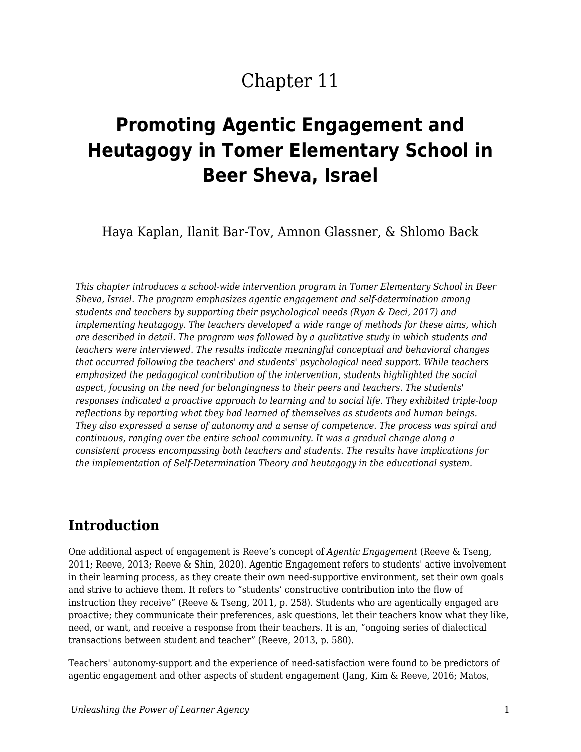# Chapter 11

# **Promoting Agentic Engagement and Heutagogy in Tomer Elementary School in Beer Sheva, Israel**

Haya Kaplan, Ilanit Bar-Tov, Amnon Glassner, & Shlomo Back

*This chapter introduces a school-wide intervention program in Tomer Elementary School in Beer Sheva, Israel. The program emphasizes agentic engagement and self-determination among students and teachers by supporting their psychological needs (Ryan & Deci, 2017) and implementing heutagogy. The teachers developed a wide range of methods for these aims, which are described in detail. The program was followed by a qualitative study in which students and teachers were interviewed. The results indicate meaningful conceptual and behavioral changes that occurred following the teachers' and students' psychological need support. While teachers emphasized the pedagogical contribution of the intervention, students highlighted the social aspect, focusing on the need for belongingness to their peers and teachers. The students' responses indicated a proactive approach to learning and to social life. They exhibited triple-loop reflections by reporting what they had learned of themselves as students and human beings. They also expressed a sense of autonomy and a sense of competence. The process was spiral and continuous, ranging over the entire school community. It was a gradual change along a consistent process encompassing both teachers and students. The results have implications for the implementation of Self-Determination Theory and heutagogy in the educational system.*

### **Introduction**

One additional aspect of engagement is Reeve's concept of *Agentic Engagement* (Reeve & Tseng, 2011; Reeve, 2013; Reeve & Shin, 2020). Agentic Engagement refers to students' active involvement in their learning process, as they create their own need-supportive environment, set their own goals and strive to achieve them. It refers to "students' constructive contribution into the flow of instruction they receive" (Reeve & Tseng, 2011, p. 258). Students who are agentically engaged are proactive; they communicate their preferences, ask questions, let their teachers know what they like, need, or want, and receive a response from their teachers. It is an, "ongoing series of dialectical transactions between student and teacher" (Reeve, 2013, p. 580).

Teachers' autonomy-support and the experience of need-satisfaction were found to be predictors of agentic engagement and other aspects of student engagement (Jang, Kim & Reeve, 2016; Matos,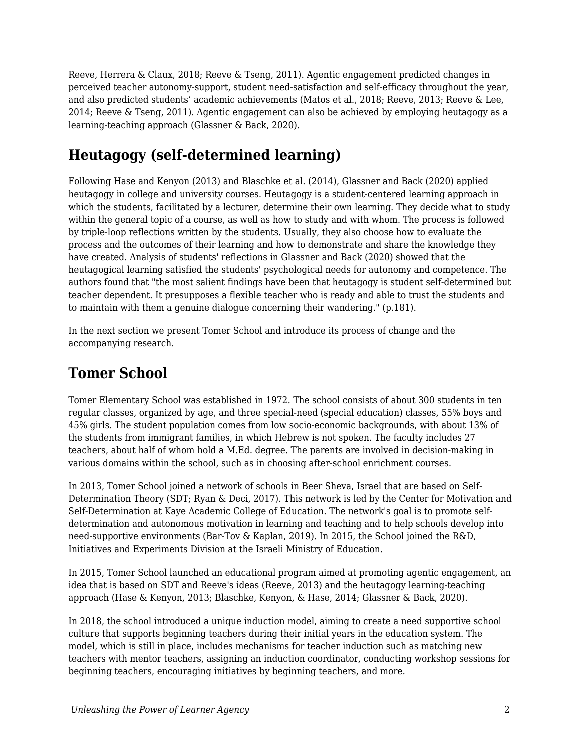Reeve, Herrera & Claux, 2018; Reeve & Tseng, 2011). Agentic engagement predicted changes in perceived teacher autonomy-support, student need-satisfaction and self-efficacy throughout the year, and also predicted students' academic achievements (Matos et al., 2018; Reeve, 2013; Reeve & Lee, 2014; Reeve & Tseng, 2011). Agentic engagement can also be achieved by employing heutagogy as a learning-teaching approach (Glassner & Back, 2020).

# **Heutagogy (self-determined learning)**

Following Hase and Kenyon (2013) and Blaschke et al. (2014), Glassner and Back (2020) applied heutagogy in college and university courses. Heutagogy is a student-centered learning approach in which the students, facilitated by a lecturer, determine their own learning. They decide what to study within the general topic of a course, as well as how to study and with whom. The process is followed by triple-loop reflections written by the students. Usually, they also choose how to evaluate the process and the outcomes of their learning and how to demonstrate and share the knowledge they have created. Analysis of students' reflections in Glassner and Back (2020) showed that the heutagogical learning satisfied the students' psychological needs for autonomy and competence. The authors found that "the most salient findings have been that heutagogy is student self-determined but teacher dependent. It presupposes a flexible teacher who is ready and able to trust the students and to maintain with them a genuine dialogue concerning their wandering." (p.181).

In the next section we present Tomer School and introduce its process of change and the accompanying research.

## **Tomer School**

Tomer Elementary School was established in 1972. The school consists of about 300 students in ten regular classes, organized by age, and three special-need (special education) classes, 55% boys and 45% girls. The student population comes from low socio-economic backgrounds, with about 13% of the students from immigrant families, in which Hebrew is not spoken. The faculty includes 27 teachers, about half of whom hold a M.Ed. degree. The parents are involved in decision-making in various domains within the school, such as in choosing after-school enrichment courses.

In 2013, Tomer School joined a network of schools in Beer Sheva, Israel that are based on Self-Determination Theory (SDT; Ryan & Deci, 2017). This network is led by the Center for Motivation and Self-Determination at Kaye Academic College of Education. The network's goal is to promote selfdetermination and autonomous motivation in learning and teaching and to help schools develop into need-supportive environments (Bar-Tov & Kaplan, 2019). In 2015, the School joined the R&D, Initiatives and Experiments Division at the Israeli Ministry of Education.

In 2015, Tomer School launched an educational program aimed at promoting agentic engagement, an idea that is based on SDT and Reeve's ideas (Reeve, 2013) and the heutagogy learning-teaching approach (Hase & Kenyon, 2013; Blaschke, Kenyon, & Hase, 2014; Glassner & Back, 2020).

In 2018, the school introduced a unique induction model, aiming to create a need supportive school culture that supports beginning teachers during their initial years in the education system. The model, which is still in place, includes mechanisms for teacher induction such as matching new teachers with mentor teachers, assigning an induction coordinator, conducting workshop sessions for beginning teachers, encouraging initiatives by beginning teachers, and more.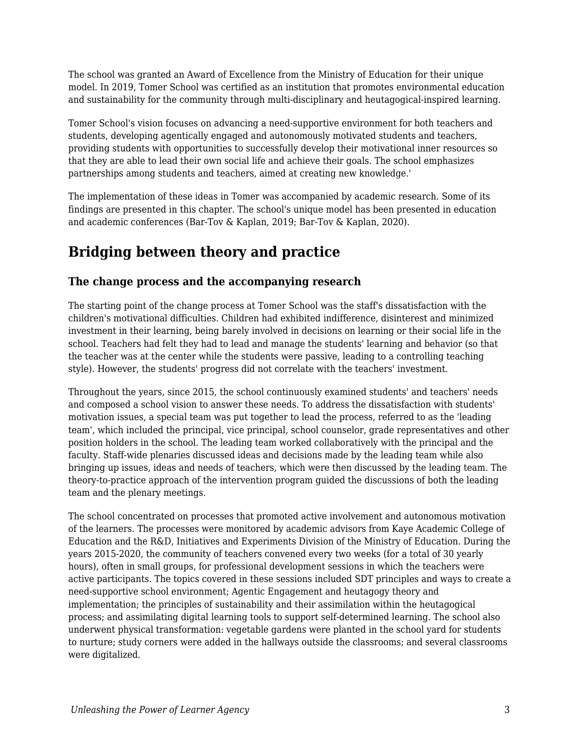The school was granted an Award of Excellence from the Ministry of Education for their unique model. In 2019, Tomer School was certified as an institution that promotes environmental education and sustainability for the community through multi-disciplinary and heutagogical-inspired learning.

Tomer School's vision focuses on advancing a need-supportive environment for both teachers and students, developing agentically engaged and autonomously motivated students and teachers, providing students with opportunities to successfully develop their motivational inner resources so that they are able to lead their own social life and achieve their goals. The school emphasizes partnerships among students and teachers, aimed at creating new knowledge.'

The implementation of these ideas in Tomer was accompanied by academic research. Some of its findings are presented in this chapter. The school's unique model has been presented in education and academic conferences (Bar-Tov & Kaplan, 2019; Bar-Tov & Kaplan, 2020).

# **Bridging between theory and practice**

#### **The change process and the accompanying research**

The starting point of the change process at Tomer School was the staff's dissatisfaction with the children's motivational difficulties. Children had exhibited indifference, disinterest and minimized investment in their learning, being barely involved in decisions on learning or their social life in the school. Teachers had felt they had to lead and manage the students' learning and behavior (so that the teacher was at the center while the students were passive, leading to a controlling teaching style). However, the students' progress did not correlate with the teachers' investment.

Throughout the years, since 2015, the school continuously examined students' and teachers' needs and composed a school vision to answer these needs. To address the dissatisfaction with students' motivation issues, a special team was put together to lead the process, referred to as the 'leading team', which included the principal, vice principal, school counselor, grade representatives and other position holders in the school. The leading team worked collaboratively with the principal and the faculty. Staff-wide plenaries discussed ideas and decisions made by the leading team while also bringing up issues, ideas and needs of teachers, which were then discussed by the leading team. The theory-to-practice approach of the intervention program guided the discussions of both the leading team and the plenary meetings.

The school concentrated on processes that promoted active involvement and autonomous motivation of the learners. The processes were monitored by academic advisors from Kaye Academic College of Education and the R&D, Initiatives and Experiments Division of the Ministry of Education. During the years 2015-2020, the community of teachers convened every two weeks (for a total of 30 yearly hours), often in small groups, for professional development sessions in which the teachers were active participants. The topics covered in these sessions included SDT principles and ways to create a need-supportive school environment; Agentic Engagement and heutagogy theory and implementation; the principles of sustainability and their assimilation within the heutagogical process; and assimilating digital learning tools to support self-determined learning. The school also underwent physical transformation: vegetable gardens were planted in the school yard for students to nurture; study corners were added in the hallways outside the classrooms; and several classrooms were digitalized.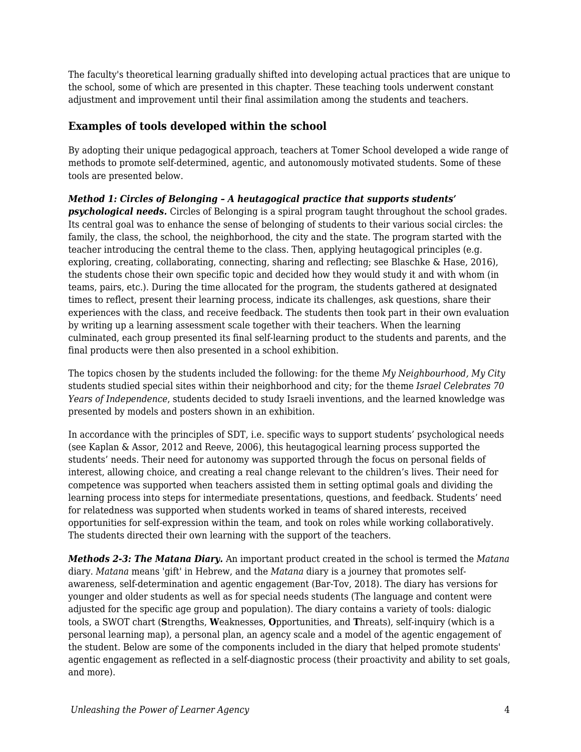The faculty's theoretical learning gradually shifted into developing actual practices that are unique to the school, some of which are presented in this chapter. These teaching tools underwent constant adjustment and improvement until their final assimilation among the students and teachers.

#### **Examples of tools developed within the school**

By adopting their unique pedagogical approach, teachers at Tomer School developed a wide range of methods to promote self-determined, agentic, and autonomously motivated students. Some of these tools are presented below.

#### *Method 1: Circles of Belonging – A heutagogical practice that supports students'*

*psychological needs.* Circles of Belonging is a spiral program taught throughout the school grades. Its central goal was to enhance the sense of belonging of students to their various social circles: the family, the class, the school, the neighborhood, the city and the state. The program started with the teacher introducing the central theme to the class. Then, applying heutagogical principles (e.g. exploring, creating, collaborating, connecting, sharing and reflecting; see Blaschke & Hase, 2016), the students chose their own specific topic and decided how they would study it and with whom (in teams, pairs, etc.). During the time allocated for the program, the students gathered at designated times to reflect, present their learning process, indicate its challenges, ask questions, share their experiences with the class, and receive feedback. The students then took part in their own evaluation by writing up a learning assessment scale together with their teachers. When the learning culminated, each group presented its final self-learning product to the students and parents, and the final products were then also presented in a school exhibition.

The topics chosen by the students included the following: for the theme *My Neighbourhood, My City* students studied special sites within their neighborhood and city; for the theme *Israel Celebrates 70 Years of Independence*, students decided to study Israeli inventions, and the learned knowledge was presented by models and posters shown in an exhibition.

In accordance with the principles of SDT, i.e. specific ways to support students' psychological needs (see Kaplan & Assor, 2012 and Reeve, 2006), this heutagogical learning process supported the students' needs. Their need for autonomy was supported through the focus on personal fields of interest, allowing choice, and creating a real change relevant to the children's lives. Their need for competence was supported when teachers assisted them in setting optimal goals and dividing the learning process into steps for intermediate presentations, questions, and feedback. Students' need for relatedness was supported when students worked in teams of shared interests, received opportunities for self-expression within the team, and took on roles while working collaboratively. The students directed their own learning with the support of the teachers.

*Methods 2-3: The Matana Diary.* An important product created in the school is termed the *Matana* diary. *Matana* means 'gift' in Hebrew, and the *Matana* diary is a journey that promotes selfawareness, self-determination and agentic engagement (Bar-Tov, 2018). The diary has versions for younger and older students as well as for special needs students (The language and content were adjusted for the specific age group and population). The diary contains a variety of tools: dialogic tools, a SWOT chart (**S**trengths, **W**eaknesses, **O**pportunities, and **T**hreats), self-inquiry (which is a personal learning map), a personal plan, an agency scale and a model of the agentic engagement of the student. Below are some of the components included in the diary that helped promote students' agentic engagement as reflected in a self-diagnostic process (their proactivity and ability to set goals, and more).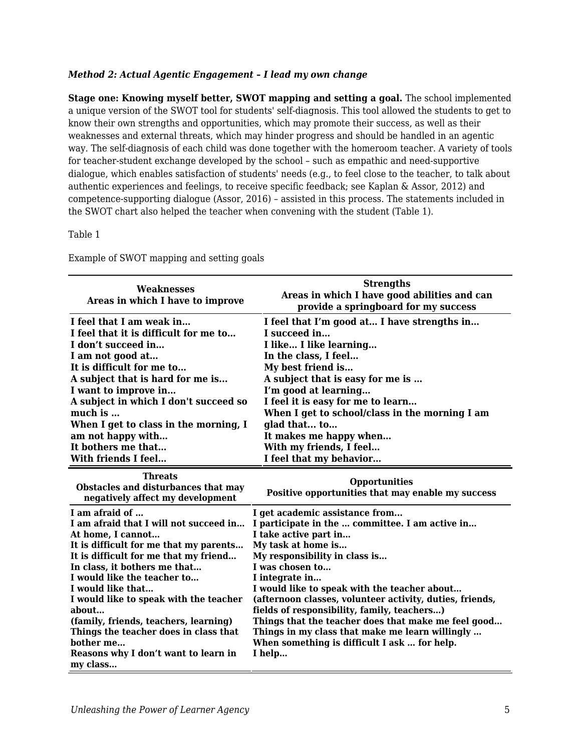#### *Method 2: Actual Agentic Engagement – I lead my own change*

**Stage one: Knowing myself better, SWOT mapping and setting a goal.** The school implemented a unique version of the SWOT tool for students' self-diagnosis. This tool allowed the students to get to know their own strengths and opportunities, which may promote their success, as well as their weaknesses and external threats, which may hinder progress and should be handled in an agentic way. The self-diagnosis of each child was done together with the homeroom teacher. A variety of tools for teacher-student exchange developed by the school – such as empathic and need-supportive dialogue, which enables satisfaction of students' needs (e.g., to feel close to the teacher, to talk about authentic experiences and feelings, to receive specific feedback; see Kaplan & Assor, 2012) and competence-supporting dialogue (Assor, 2016) – assisted in this process. The statements included in the SWOT chart also helped the teacher when convening with the student (Table 1).

**Strengths**

#### Table 1

| <b>Weaknesses</b><br>Areas in which I have to improve                   | <b>Strengths</b><br>Areas in which I have good abilities and can<br>provide a springboard for my success |  |
|-------------------------------------------------------------------------|----------------------------------------------------------------------------------------------------------|--|
| I feel that I am weak in                                                | I feel that I'm good at I have strengths in                                                              |  |
| I feel that it is difficult for me to                                   | I succeed in                                                                                             |  |
| I don't succeed in                                                      | I like I like learning                                                                                   |  |
| I am not good at                                                        | In the class, I feel                                                                                     |  |
| It is difficult for me to                                               | My best friend is                                                                                        |  |
| A subject that is hard for me is                                        | A subject that is easy for me is                                                                         |  |
| I want to improve in                                                    | I'm good at learning                                                                                     |  |
| A subject in which I don't succeed so                                   | I feel it is easy for me to learn                                                                        |  |
| much is                                                                 | When I get to school/class in the morning I am                                                           |  |
| When I get to class in the morning, I                                   | glad that to                                                                                             |  |
| am not happy with                                                       | It makes me happy when                                                                                   |  |
| It bothers me that                                                      | With my friends, I feel                                                                                  |  |
| With friends I feel                                                     | I feel that my behavior                                                                                  |  |
|                                                                         |                                                                                                          |  |
| <b>Threats</b>                                                          | <b>Opportunities</b>                                                                                     |  |
| Obstacles and disturbances that may<br>negatively affect my development | Positive opportunities that may enable my success                                                        |  |
| I am afraid of                                                          | I get academic assistance from                                                                           |  |
| I am afraid that I will not succeed in                                  | I participate in the  committee. I am active in                                                          |  |
| At home, I cannot                                                       | I take active part in                                                                                    |  |
| It is difficult for me that my parents                                  | My task at home is                                                                                       |  |
| It is difficult for me that my friend                                   | My responsibility in class is                                                                            |  |
| In class, it bothers me that                                            | I was chosen to                                                                                          |  |
| I would like the teacher to                                             | I integrate in                                                                                           |  |
| I would like that                                                       | I would like to speak with the teacher about                                                             |  |
| I would like to speak with the teacher                                  | (afternoon classes, volunteer activity, duties, friends,                                                 |  |
| about                                                                   | fields of responsibility, family, teachers)                                                              |  |
| (family, friends, teachers, learning)                                   | Things that the teacher does that make me feel good                                                      |  |
| Things the teacher does in class that                                   | Things in my class that make me learn willingly<br>When something is difficult I ask  for help.          |  |
|                                                                         |                                                                                                          |  |

Example of SWOT mapping and setting goals

**bother me… Reasons why I don't want to learn in my class… I help…**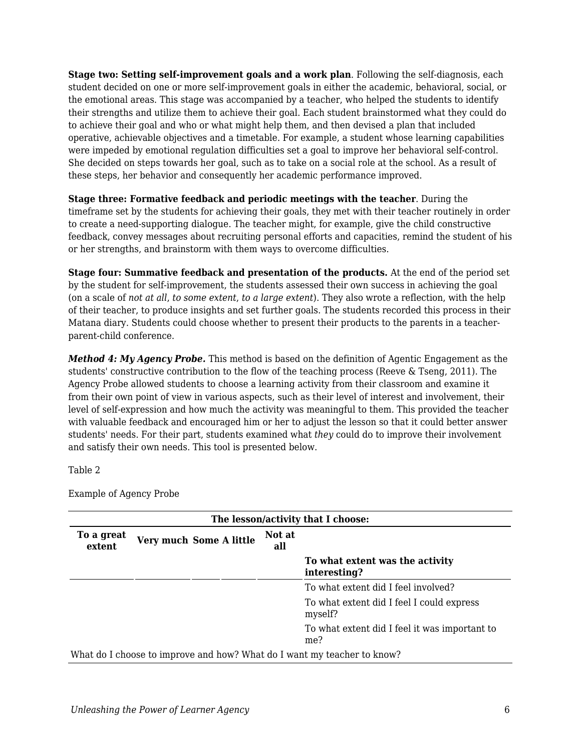**Stage two: Setting self-improvement goals and a work plan**. Following the self-diagnosis, each student decided on one or more self-improvement goals in either the academic, behavioral, social, or the emotional areas. This stage was accompanied by a teacher, who helped the students to identify their strengths and utilize them to achieve their goal. Each student brainstormed what they could do to achieve their goal and who or what might help them, and then devised a plan that included operative, achievable objectives and a timetable. For example, a student whose learning capabilities were impeded by emotional regulation difficulties set a goal to improve her behavioral self-control. She decided on steps towards her goal, such as to take on a social role at the school. As a result of these steps, her behavior and consequently her academic performance improved.

**Stage three: Formative feedback and periodic meetings with the teacher**. During the timeframe set by the students for achieving their goals, they met with their teacher routinely in order to create a need-supporting dialogue. The teacher might, for example, give the child constructive feedback, convey messages about recruiting personal efforts and capacities, remind the student of his or her strengths, and brainstorm with them ways to overcome difficulties.

**Stage four: Summative feedback and presentation of the products.** At the end of the period set by the student for self-improvement, the students assessed their own success in achieving the goal (on a scale of *not at all*, *to some extent*, *to a large extent*). They also wrote a reflection, with the help of their teacher, to produce insights and set further goals. The students recorded this process in their Matana diary. Students could choose whether to present their products to the parents in a teacherparent-child conference.

*Method 4: My Agency Probe.* This method is based on the definition of Agentic Engagement as the students' constructive contribution to the flow of the teaching process (Reeve & Tseng, 2011). The Agency Probe allowed students to choose a learning activity from their classroom and examine it from their own point of view in various aspects, such as their level of interest and involvement, their level of self-expression and how much the activity was meaningful to them. This provided the teacher with valuable feedback and encouraged him or her to adjust the lesson so that it could better answer students' needs. For their part, students examined what *they* could do to improve their involvement and satisfy their own needs. This tool is presented below.

Table 2

Example of Agency Probe

| The lesson/activity that I choose:                                      |                         |               |                                                      |
|-------------------------------------------------------------------------|-------------------------|---------------|------------------------------------------------------|
| To a great<br>extent                                                    | Very much Some A little | Not at<br>all |                                                      |
|                                                                         |                         |               | To what extent was the activity<br>interesting?      |
|                                                                         |                         |               | To what extent did I feel involved?                  |
|                                                                         |                         |               | To what extent did I feel I could express<br>myself? |
|                                                                         |                         |               | To what extent did I feel it was important to<br>me? |
| What do I choose to improve and how? What do I want my teacher to know? |                         |               |                                                      |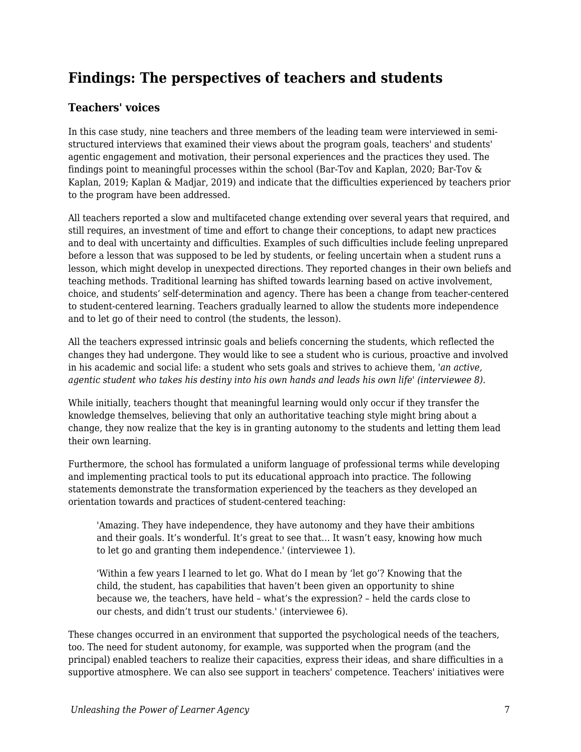## **Findings: The perspectives of teachers and students**

#### **Teachers' voices**

In this case study, nine teachers and three members of the leading team were interviewed in semistructured interviews that examined their views about the program goals, teachers' and students' agentic engagement and motivation, their personal experiences and the practices they used. The findings point to meaningful processes within the school (Bar-Tov and Kaplan, 2020; Bar-Tov & Kaplan, 2019; Kaplan & Madjar, 2019) and indicate that the difficulties experienced by teachers prior to the program have been addressed.

All teachers reported a slow and multifaceted change extending over several years that required, and still requires, an investment of time and effort to change their conceptions, to adapt new practices and to deal with uncertainty and difficulties. Examples of such difficulties include feeling unprepared before a lesson that was supposed to be led by students, or feeling uncertain when a student runs a lesson, which might develop in unexpected directions. They reported changes in their own beliefs and teaching methods. Traditional learning has shifted towards learning based on active involvement, choice, and students' self-determination and agency. There has been a change from teacher-centered to student-centered learning. Teachers gradually learned to allow the students more independence and to let go of their need to control (the students, the lesson).

All the teachers expressed intrinsic goals and beliefs concerning the students, which reflected the changes they had undergone. They would like to see a student who is curious, proactive and involved in his academic and social life: a student who sets goals and strives to achieve them, *'an active, agentic student who takes his destiny into his own hands and leads his own life' (interviewee 8).*

While initially, teachers thought that meaningful learning would only occur if they transfer the knowledge themselves, believing that only an authoritative teaching style might bring about a change, they now realize that the key is in granting autonomy to the students and letting them lead their own learning.

Furthermore, the school has formulated a uniform language of professional terms while developing and implementing practical tools to put its educational approach into practice. The following statements demonstrate the transformation experienced by the teachers as they developed an orientation towards and practices of student-centered teaching:

'Amazing. They have independence, they have autonomy and they have their ambitions and their goals. It's wonderful. It's great to see that… It wasn't easy, knowing how much to let go and granting them independence.' (interviewee 1).

'Within a few years I learned to let go. What do I mean by 'let go'? Knowing that the child, the student, has capabilities that haven't been given an opportunity to shine because we, the teachers, have held – what's the expression? – held the cards close to our chests, and didn't trust our students.' (interviewee 6).

These changes occurred in an environment that supported the psychological needs of the teachers, too. The need for student autonomy, for example, was supported when the program (and the principal) enabled teachers to realize their capacities, express their ideas, and share difficulties in a supportive atmosphere. We can also see support in teachers' competence. Teachers' initiatives were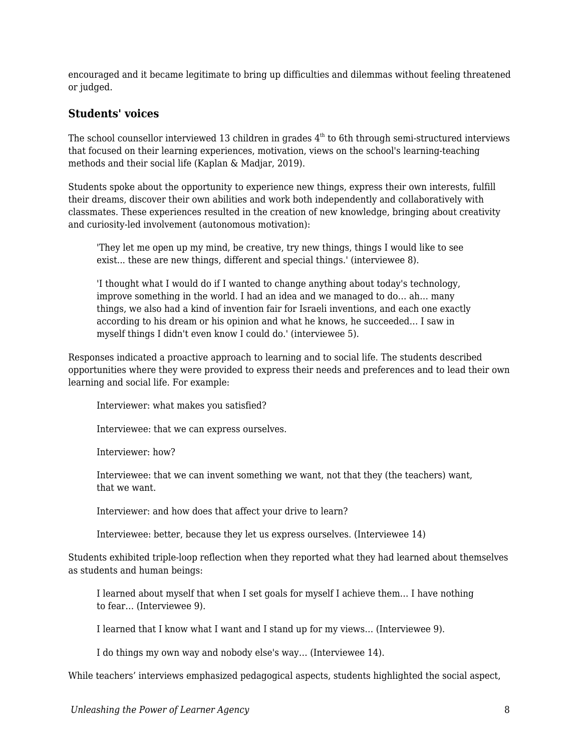encouraged and it became legitimate to bring up difficulties and dilemmas without feeling threatened or judged.

#### **Students' voices**

The school counsellor interviewed 13 children in grades  $4<sup>th</sup>$  to 6th through semi-structured interviews that focused on their learning experiences, motivation, views on the school's learning-teaching methods and their social life (Kaplan & Madjar, 2019).

Students spoke about the opportunity to experience new things, express their own interests, fulfill their dreams, discover their own abilities and work both independently and collaboratively with classmates. These experiences resulted in the creation of new knowledge, bringing about creativity and curiosity-led involvement (autonomous motivation):

'They let me open up my mind, be creative, try new things, things I would like to see exist... these are new things, different and special things.' (interviewee 8).

'I thought what I would do if I wanted to change anything about today's technology, improve something in the world. I had an idea and we managed to do… ah… many things, we also had a kind of invention fair for Israeli inventions, and each one exactly according to his dream or his opinion and what he knows, he succeeded… I saw in myself things I didn't even know I could do.' (interviewee 5).

Responses indicated a proactive approach to learning and to social life. The students described opportunities where they were provided to express their needs and preferences and to lead their own learning and social life. For example:

Interviewer: what makes you satisfied?

Interviewee: that we can express ourselves.

Interviewer: how?

Interviewee: that we can invent something we want, not that they (the teachers) want, that we want.

Interviewer: and how does that affect your drive to learn?

Interviewee: better, because they let us express ourselves. (Interviewee 14)

Students exhibited triple-loop reflection when they reported what they had learned about themselves as students and human beings:

I learned about myself that when I set goals for myself I achieve them… I have nothing to fear… (Interviewee 9).

I learned that I know what I want and I stand up for my views… (Interviewee 9).

I do things my own way and nobody else's way… (Interviewee 14).

While teachers' interviews emphasized pedagogical aspects, students highlighted the social aspect,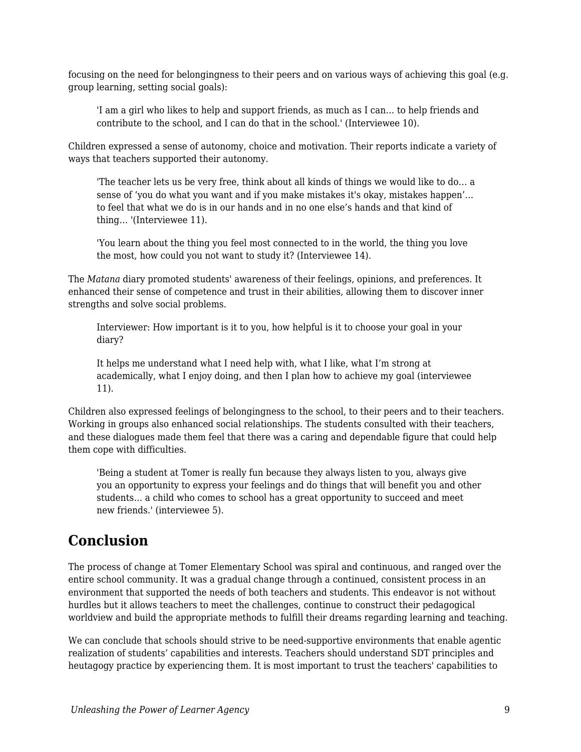focusing on the need for belongingness to their peers and on various ways of achieving this goal (e.g. group learning, setting social goals):

'I am a girl who likes to help and support friends, as much as I can… to help friends and contribute to the school, and I can do that in the school.' (Interviewee 10).

Children expressed a sense of autonomy, choice and motivation. Their reports indicate a variety of ways that teachers supported their autonomy.

'The teacher lets us be very free, think about all kinds of things we would like to do… a sense of 'you do what you want and if you make mistakes it's okay, mistakes happen'… to feel that what we do is in our hands and in no one else's hands and that kind of thing… '(Interviewee 11).

'You learn about the thing you feel most connected to in the world, the thing you love the most, how could you not want to study it? (Interviewee 14).

The *Matana* diary promoted students' awareness of their feelings, opinions, and preferences. It enhanced their sense of competence and trust in their abilities, allowing them to discover inner strengths and solve social problems.

Interviewer: How important is it to you, how helpful is it to choose your goal in your diary?

It helps me understand what I need help with, what I like, what I'm strong at academically, what I enjoy doing, and then I plan how to achieve my goal (interviewee 11).

Children also expressed feelings of belongingness to the school, to their peers and to their teachers. Working in groups also enhanced social relationships. The students consulted with their teachers, and these dialogues made them feel that there was a caring and dependable figure that could help them cope with difficulties.

'Being a student at Tomer is really fun because they always listen to you, always give you an opportunity to express your feelings and do things that will benefit you and other students… a child who comes to school has a great opportunity to succeed and meet new friends.' (interviewee 5).

### **Conclusion**

The process of change at Tomer Elementary School was spiral and continuous, and ranged over the entire school community. It was a gradual change through a continued, consistent process in an environment that supported the needs of both teachers and students. This endeavor is not without hurdles but it allows teachers to meet the challenges, continue to construct their pedagogical worldview and build the appropriate methods to fulfill their dreams regarding learning and teaching.

We can conclude that schools should strive to be need-supportive environments that enable agentic realization of students' capabilities and interests. Teachers should understand SDT principles and heutagogy practice by experiencing them. It is most important to trust the teachers' capabilities to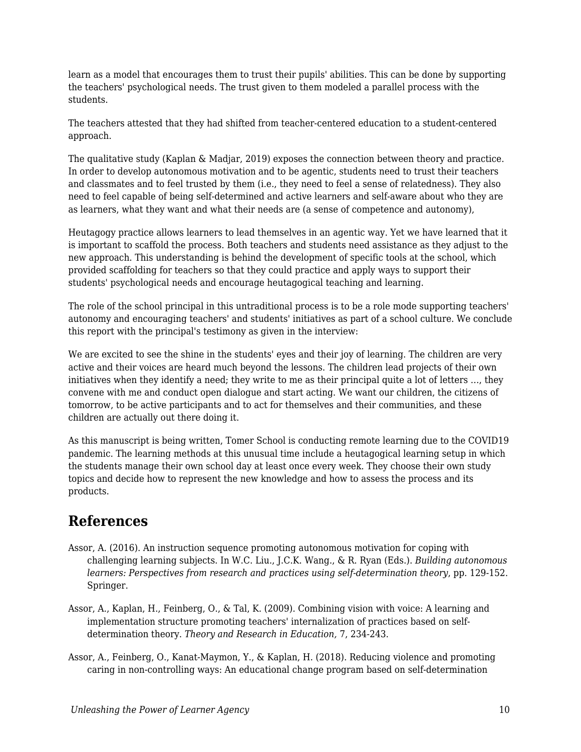learn as a model that encourages them to trust their pupils' abilities. This can be done by supporting the teachers' psychological needs. The trust given to them modeled a parallel process with the students.

The teachers attested that they had shifted from teacher-centered education to a student-centered approach.

The qualitative study (Kaplan & Madjar, 2019) exposes the connection between theory and practice. In order to develop autonomous motivation and to be agentic, students need to trust their teachers and classmates and to feel trusted by them (i.e., they need to feel a sense of relatedness). They also need to feel capable of being self-determined and active learners and self-aware about who they are as learners, what they want and what their needs are (a sense of competence and autonomy),

Heutagogy practice allows learners to lead themselves in an agentic way. Yet we have learned that it is important to scaffold the process. Both teachers and students need assistance as they adjust to the new approach. This understanding is behind the development of specific tools at the school, which provided scaffolding for teachers so that they could practice and apply ways to support their students' psychological needs and encourage heutagogical teaching and learning.

The role of the school principal in this untraditional process is to be a role mode supporting teachers' autonomy and encouraging teachers' and students' initiatives as part of a school culture. We conclude this report with the principal's testimony as given in the interview:

We are excited to see the shine in the students' eyes and their joy of learning. The children are very active and their voices are heard much beyond the lessons. The children lead projects of their own initiatives when they identify a need; they write to me as their principal quite a lot of letters …, they convene with me and conduct open dialogue and start acting. We want our children, the citizens of tomorrow, to be active participants and to act for themselves and their communities, and these children are actually out there doing it.

As this manuscript is being written, Tomer School is conducting remote learning due to the COVID19 pandemic. The learning methods at this unusual time include a heutagogical learning setup in which the students manage their own school day at least once every week. They choose their own study topics and decide how to represent the new knowledge and how to assess the process and its products.

### **References**

- Assor, A. (2016). An instruction sequence promoting autonomous motivation for coping with challenging learning subjects. In W.C. Liu., J.C.K. Wang., & R. Ryan (Eds.). *Building autonomous learners: Perspectives from research and practices using self-determination theory*, pp. 129-152. Springer.
- Assor, A., Kaplan, H., Feinberg, O., & Tal, K. (2009). Combining vision with voice: A learning and implementation structure promoting teachers' internalization of practices based on selfdetermination theory. *Theory and Research in Education,* 7, 234-243.
- Assor, A., Feinberg, O., Kanat-Maymon, Y., & Kaplan, H. (2018). Reducing violence and promoting caring in non-controlling ways: An educational change program based on self-determination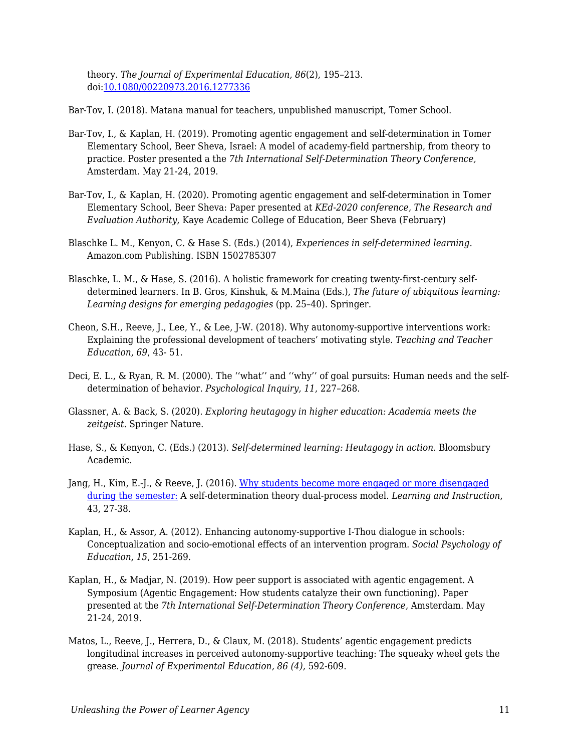theory. *The Journal of Experimental Education, 86*(2), 195–213. doi[:10.1080/00220973.2016.1277336](https://doi.org/10.1080/00220973.2016.1277336)

Bar-Tov, I. (2018). Matana manual for teachers, unpublished manuscript, Tomer School.

- Bar-Tov, I., & Kaplan, H. (2019). Promoting agentic engagement and self-determination in Tomer Elementary School, Beer Sheva, Israel: A model of academy-field partnership, from theory to practice. Poster presented a the *7th International Self-Determination Theory Conference,* Amsterdam*.* May 21-24, 2019.
- Bar-Tov, I., & Kaplan, H. (2020). Promoting agentic engagement and self-determination in Tomer Elementary School, Beer Sheva: Paper presented at *KEd-2020 conference, The Research and Evaluation Authority*, Kaye Academic College of Education, Beer Sheva (February)
- Blaschke L. M., Kenyon, C. & Hase S. (Eds.) (2014), *Experiences in self-determined learning*. Amazon.com Publishing. ISBN 1502785307
- Blaschke, L. M., & Hase, S. (2016). A holistic framework for creating twenty-first-century selfdetermined learners. In B. Gros, Kinshuk, & M.Maina (Eds.), *The future of ubiquitous learning: Learning designs for emerging pedagogies* (pp. 25–40). Springer.
- Cheon, S.H., Reeve, J., Lee, Y., & Lee, J-W. (2018). Why autonomy-supportive interventions work: Explaining the professional development of teachers' motivating style. *Teaching and Teacher Education, 69*, 43- 51.
- Deci, E. L., & Ryan, R. M. (2000). The ''what'' and ''why'' of goal pursuits: Human needs and the selfdetermination of behavior. *Psychological Inquiry, 11*, 227–268.
- Glassner, A. & Back, S. (2020). *Exploring heutagogy in higher education: Academia meets the zeitgeist*. Springer Nature.
- Hase, S., & Kenyon, C. (Eds.) (2013). *Self-determined learning: Heutagogy in action*. Bloomsbury Academic.
- Jang, H., Kim, E.-J., & Reeve, J. (2016). [Why students become more engaged or more disengaged](https://www.johnmarshallreeve.org/uploads/2/7/4/4/27446011/jang_kim_reeve2016.149212407.pdf) [during the semester:](https://www.johnmarshallreeve.org/uploads/2/7/4/4/27446011/jang_kim_reeve2016.149212407.pdf) A self-determination theory dual-process model. *Learning and Instruction*, 43, 27-38.
- Kaplan, H., & Assor, A. (2012). Enhancing autonomy-supportive I-Thou dialogue in schools: Conceptualization and socio-emotional effects of an intervention program. *Social Psychology of Education, 15*, 251-269.
- Kaplan, H., & Madjar, N. (2019). How peer support is associated with agentic engagement. A Symposium (Agentic Engagement: How students catalyze their own functioning). Paper presented at the *7th International Self-Determination Theory Conference,* Amsterdam. May 21-24, 2019.
- Matos, L., Reeve, J., Herrera, D., & Claux, M. (2018). Students' agentic engagement predicts longitudinal increases in perceived autonomy-supportive teaching: The squeaky wheel gets the grease. *Journal of Experimental Education, 86 (4),* 592-609.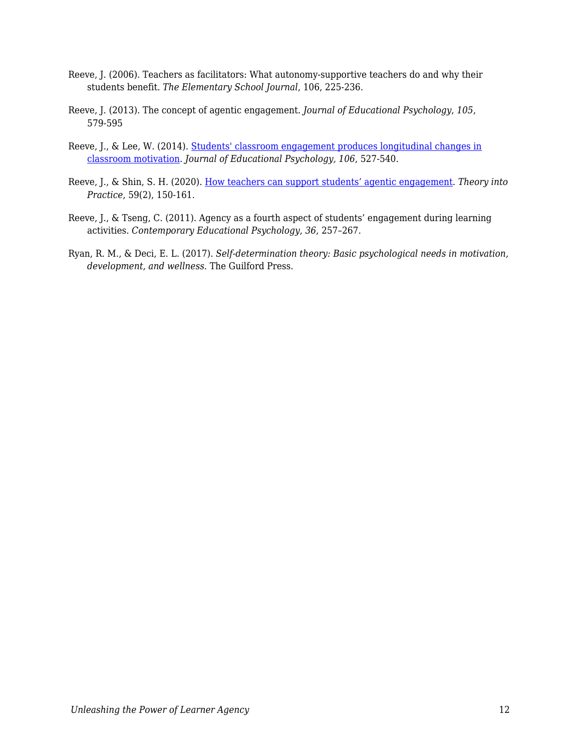- Reeve, J. (2006). Teachers as facilitators: What autonomy-supportive teachers do and why their students benefit. *The Elementary School Journal*, 106, 225-236.
- Reeve, J. (2013). The concept of agentic engagement. *Journal of Educational Psychology*, *105*, 579-595
- Reeve, J., & Lee, W. (2014). [Students' classroom engagement produces longitudinal changes in](http://www.johnmarshallreeve.org/uploads/2/7/4/4/27446011/reeve_lee2014.29341949.pdf) [classroom motivation.](http://www.johnmarshallreeve.org/uploads/2/7/4/4/27446011/reeve_lee2014.29341949.pdf) *Journal of Educational Psychology, 106*, 527-540.
- Reeve, J., & Shin, S. H. (2020). [How teachers can support students' agentic engagement](https://www.johnmarshallreeve.org/uploads/2/7/4/4/27446011/reeve_shin_2020_tintop.pdf). *Theory into Practice*, 59(2), 150-161.
- Reeve, J., & Tseng, C. (2011). Agency as a fourth aspect of students' engagement during learning activities. *Contemporary Educational Psychology*, *36*, 257–267.
- Ryan, R. M., & Deci, E. L. (2017). *Self-determination theory: Basic psychological needs in motivation, development, and wellness*. The Guilford Press.